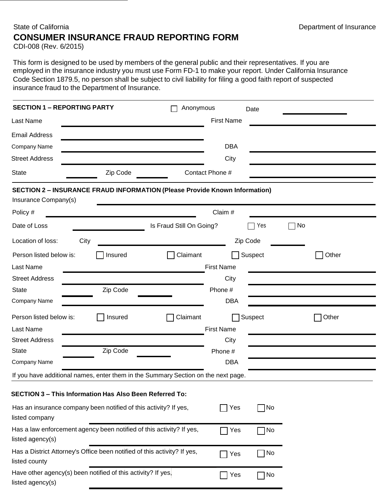## State of California **Department of Insurance CONSUMER INSURANCE FRAUD REPORTING FORM**

CDI-008 (Rev. 6/2015)

This form is designed to be used by members of the general public and their representatives. If you are employed in the insurance industry you must use Form FD-1 to make your report. Under California Insurance Code Section 1879.5, no person shall be subject to civil liability for filing a good faith report of suspected insurance fraud to the Department of Insurance.

| <b>SECTION 1 - REPORTING PARTY</b><br>Anonymous                                                           | Date                        |       |
|-----------------------------------------------------------------------------------------------------------|-----------------------------|-------|
| Last Name                                                                                                 | <b>First Name</b>           |       |
| <b>Email Address</b>                                                                                      |                             |       |
| Company Name                                                                                              | <b>DBA</b>                  |       |
| <b>Street Address</b>                                                                                     | City                        |       |
| Zip Code<br><b>State</b>                                                                                  | Contact Phone #             |       |
| <b>SECTION 2 - INSURANCE FRAUD INFORMATION (Please Provide Known Information)</b><br>Insurance Company(s) |                             |       |
| Policy #                                                                                                  | Claim #                     |       |
| Date of Loss<br>Is Fraud Still On Going?                                                                  | No<br>Yes                   |       |
| Location of loss:<br>City                                                                                 | Zip Code                    |       |
| Claimant<br>Person listed below is:<br>Insured                                                            | Suspect                     | Other |
| Last Name                                                                                                 | <b>First Name</b>           |       |
| <b>Street Address</b>                                                                                     | City                        |       |
| Zip Code<br><b>State</b>                                                                                  | Phone #                     |       |
| Company Name                                                                                              | <b>DBA</b>                  |       |
| Person listed below is:<br>Claimant<br>Insured                                                            | Suspect                     | Other |
| Last Name                                                                                                 | <b>First Name</b>           |       |
| <b>Street Address</b>                                                                                     | City                        |       |
| Zip Code<br><b>State</b>                                                                                  | Phone #                     |       |
| Company Name                                                                                              | <b>DBA</b>                  |       |
| If you have additional names, enter them in the Summary Section on the next page.                         |                             |       |
| <b>SECTION 3 - This Information Has Also Been Referred To:</b>                                            |                             |       |
| Has an insurance company been notified of this activity? If yes,<br>listed company                        | $\neg$ No<br>Yes            |       |
| Has a law enforcement agency been notified of this activity? If yes,<br>listed agency(s)                  | $\neg$ No<br>Yes            |       |
| Has a District Attorney's Office been notified of this activity? If yes,<br>listed county                 | No<br>$\blacksquare$<br>Yes |       |
| Have other agency(s) been notified of this activity? If yes,<br>listed agency(s)                          | $\neg$ No<br>Yes            |       |